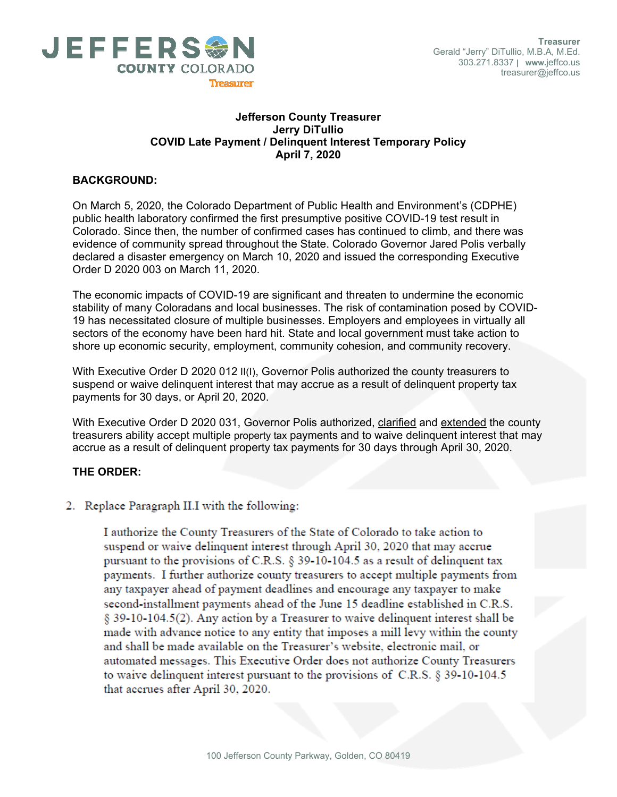

#### **Jefferson County Treasurer Jerry DiTullio COVID Late Payment / Delinquent Interest Temporary Policy April 7, 2020**

# **BACKGROUND:**

On March 5, 2020, the Colorado Department of Public Health and Environment's (CDPHE) public health laboratory confirmed the first presumptive positive COVID-19 test result in Colorado. Since then, the number of confirmed cases has continued to climb, and there was evidence of community spread throughout the State. Colorado Governor Jared Polis verbally declared a disaster emergency on March 10, 2020 and issued the corresponding Executive Order D 2020 003 on March 11, 2020.

The economic impacts of COVID-19 are significant and threaten to undermine the economic stability of many Coloradans and local businesses. The risk of contamination posed by COVID-19 has necessitated closure of multiple businesses. Employers and employees in virtually all sectors of the economy have been hard hit. State and local government must take action to shore up economic security, employment, community cohesion, and community recovery.

With Executive Order D 2020 012 II(I), Governor Polis authorized the county treasurers to suspend or waive delinquent interest that may accrue as a result of delinquent property tax payments for 30 days, or April 20, 2020.

With Executive Order D 2020 031, Governor Polis authorized, clarified and extended the county treasurers ability accept multiple property tax payments and to waive delinquent interest that may accrue as a result of delinquent property tax payments for 30 days through April 30, 2020.

## **THE ORDER:**

2. Replace Paragraph II.I with the following:

I authorize the County Treasurers of the State of Colorado to take action to suspend or waive delinquent interest through April 30, 2020 that may accrue pursuant to the provisions of C.R.S. § 39-10-104.5 as a result of delinquent tax payments. I further authorize county treasurers to accept multiple payments from any taxpayer ahead of payment deadlines and encourage any taxpayer to make second-installment payments ahead of the June 15 deadline established in C.R.S. § 39-10-104.5(2). Any action by a Treasurer to waive delinquent interest shall be made with advance notice to any entity that imposes a mill levy within the county and shall be made available on the Treasurer's website, electronic mail, or automated messages. This Executive Order does not authorize County Treasurers to waive delinquent interest pursuant to the provisions of C.R.S. § 39-10-104.5 that accrues after April 30, 2020.